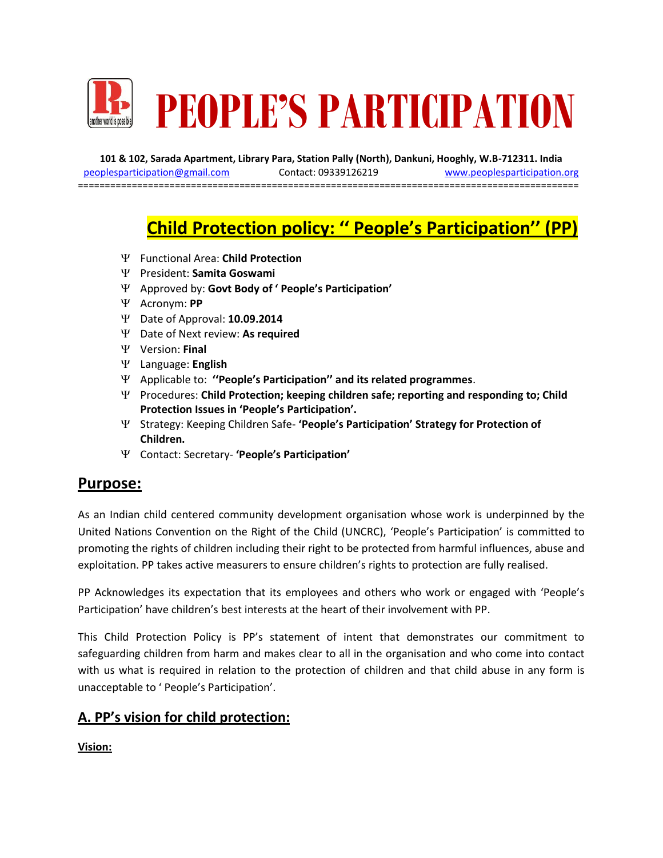

**101 & 102, Sarada Apartment, Library Para, Station Pally (North), Dankuni, Hooghly, W.B-712311. India** [peoplesparticipation@gmail.com](mailto:peoplesparticipation@gmail.com) Contact: 09339126219 [www.peoplesparticipation.org](http://www.peoplesparticipation.org/) ==================================

# **Child Protection policy: '' People's Participation'' (PP)**

- Functional Area: **Child Protection**
- President: **Samita Goswami**
- Approved by: **Govt Body of ' People's Participation'**
- Acronym: **PP**
- Date of Approval: **10.09.2014**
- Date of Next review: **As required**
- Version: **Final**
- Language: **English**
- Applicable to: **''People's Participation'' and its related programmes**.
- Procedures: **Child Protection; keeping children safe; reporting and responding to; Child Protection Issues in 'People's Participation'.**
- Strategy: Keeping Children Safe- **'People's Participation' Strategy for Protection of Children.**
- Contact: Secretary- **'People's Participation'**

### **Purpose:**

As an Indian child centered community development organisation whose work is underpinned by the United Nations Convention on the Right of the Child (UNCRC), 'People's Participation' is committed to promoting the rights of children including their right to be protected from harmful influences, abuse and exploitation. PP takes active measurers to ensure children's rights to protection are fully realised.

PP Acknowledges its expectation that its employees and others who work or engaged with 'People's Participation' have children's best interests at the heart of their involvement with PP.

This Child Protection Policy is PP's statement of intent that demonstrates our commitment to safeguarding children from harm and makes clear to all in the organisation and who come into contact with us what is required in relation to the protection of children and that child abuse in any form is unacceptable to ' People's Participation'.

#### **A. PP's vision for child protection:**

**Vision:**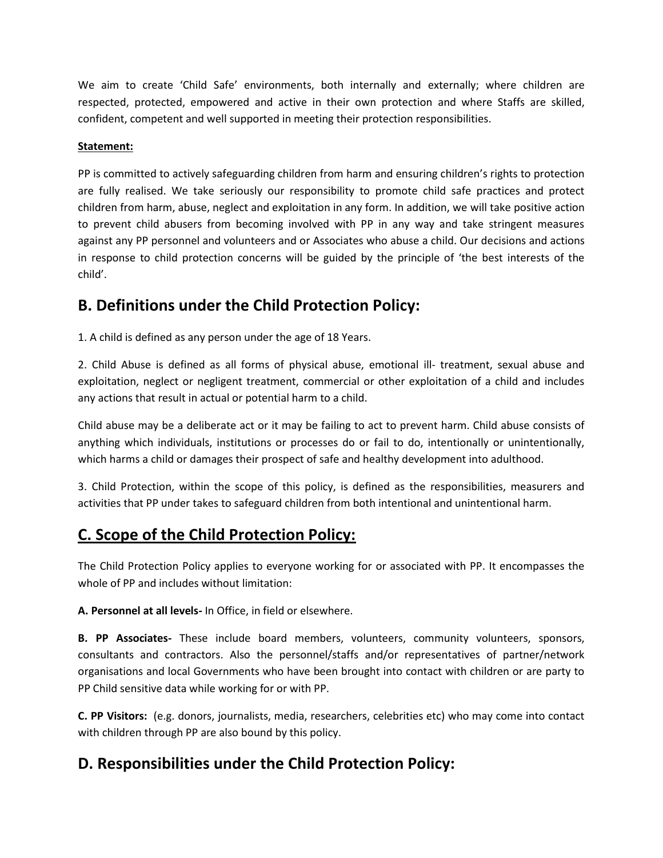We aim to create 'Child Safe' environments, both internally and externally; where children are respected, protected, empowered and active in their own protection and where Staffs are skilled, confident, competent and well supported in meeting their protection responsibilities.

#### **Statement:**

PP is committed to actively safeguarding children from harm and ensuring children's rights to protection are fully realised. We take seriously our responsibility to promote child safe practices and protect children from harm, abuse, neglect and exploitation in any form. In addition, we will take positive action to prevent child abusers from becoming involved with PP in any way and take stringent measures against any PP personnel and volunteers and or Associates who abuse a child. Our decisions and actions in response to child protection concerns will be guided by the principle of 'the best interests of the child'.

### **B. Definitions under the Child Protection Policy:**

1. A child is defined as any person under the age of 18 Years.

2. Child Abuse is defined as all forms of physical abuse, emotional ill- treatment, sexual abuse and exploitation, neglect or negligent treatment, commercial or other exploitation of a child and includes any actions that result in actual or potential harm to a child.

Child abuse may be a deliberate act or it may be failing to act to prevent harm. Child abuse consists of anything which individuals, institutions or processes do or fail to do, intentionally or unintentionally, which harms a child or damages their prospect of safe and healthy development into adulthood.

3. Child Protection, within the scope of this policy, is defined as the responsibilities, measurers and activities that PP under takes to safeguard children from both intentional and unintentional harm.

## **C. Scope of the Child Protection Policy:**

The Child Protection Policy applies to everyone working for or associated with PP. It encompasses the whole of PP and includes without limitation:

**A. Personnel at all levels-** In Office, in field or elsewhere.

**B. PP Associates-** These include board members, volunteers, community volunteers, sponsors, consultants and contractors. Also the personnel/staffs and/or representatives of partner/network organisations and local Governments who have been brought into contact with children or are party to PP Child sensitive data while working for or with PP.

**C. PP Visitors:** (e.g. donors, journalists, media, researchers, celebrities etc) who may come into contact with children through PP are also bound by this policy.

## **D. Responsibilities under the Child Protection Policy:**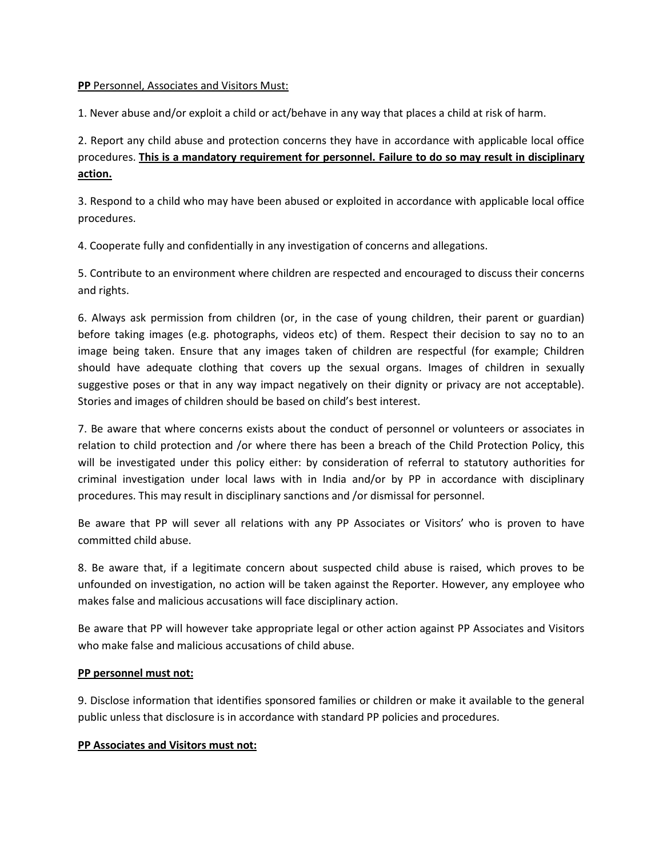#### **PP** Personnel, Associates and Visitors Must:

1. Never abuse and/or exploit a child or act/behave in any way that places a child at risk of harm.

2. Report any child abuse and protection concerns they have in accordance with applicable local office procedures. **This is a mandatory requirement for personnel. Failure to do so may result in disciplinary action.**

3. Respond to a child who may have been abused or exploited in accordance with applicable local office procedures.

4. Cooperate fully and confidentially in any investigation of concerns and allegations.

5. Contribute to an environment where children are respected and encouraged to discuss their concerns and rights.

6. Always ask permission from children (or, in the case of young children, their parent or guardian) before taking images (e.g. photographs, videos etc) of them. Respect their decision to say no to an image being taken. Ensure that any images taken of children are respectful (for example; Children should have adequate clothing that covers up the sexual organs. Images of children in sexually suggestive poses or that in any way impact negatively on their dignity or privacy are not acceptable). Stories and images of children should be based on child's best interest.

7. Be aware that where concerns exists about the conduct of personnel or volunteers or associates in relation to child protection and /or where there has been a breach of the Child Protection Policy, this will be investigated under this policy either: by consideration of referral to statutory authorities for criminal investigation under local laws with in India and/or by PP in accordance with disciplinary procedures. This may result in disciplinary sanctions and /or dismissal for personnel.

Be aware that PP will sever all relations with any PP Associates or Visitors' who is proven to have committed child abuse.

8. Be aware that, if a legitimate concern about suspected child abuse is raised, which proves to be unfounded on investigation, no action will be taken against the Reporter. However, any employee who makes false and malicious accusations will face disciplinary action.

Be aware that PP will however take appropriate legal or other action against PP Associates and Visitors who make false and malicious accusations of child abuse.

#### **PP personnel must not:**

9. Disclose information that identifies sponsored families or children or make it available to the general public unless that disclosure is in accordance with standard PP policies and procedures.

#### **PP Associates and Visitors must not:**